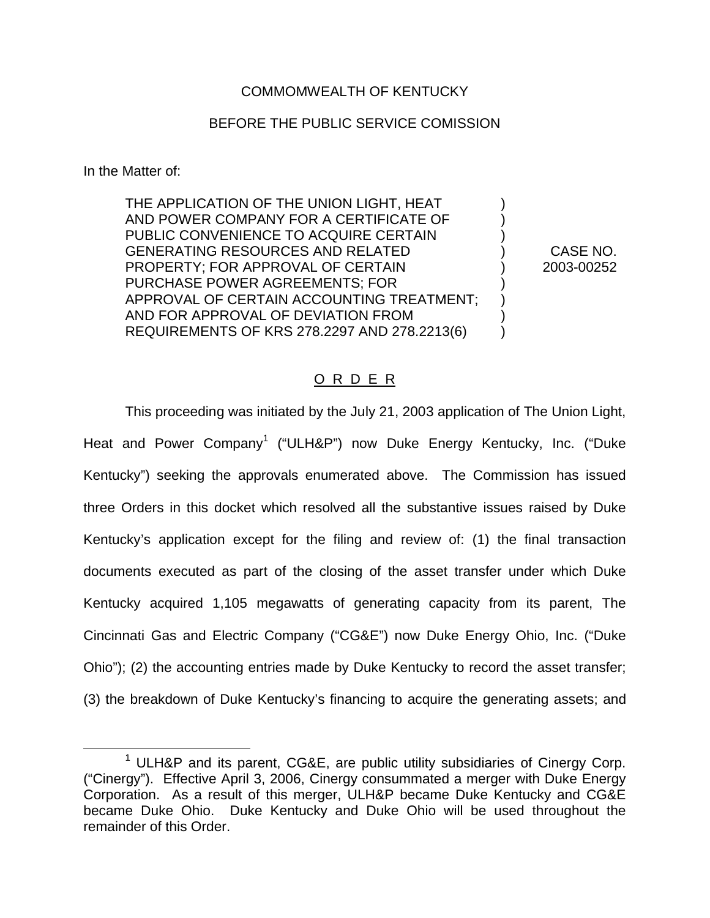# COMMOMWEALTH OF KENTUCKY

## BEFORE THE PUBLIC SERVICE COMISSION

In the Matter of:

THE APPLICATION OF THE UNION LIGHT, HEAT AND POWER COMPANY FOR A CERTIFICATE OF ) PUBLIC CONVENIENCE TO ACQUIRE CERTAIN GENERATING RESOURCES AND RELATED ) CASE NO. PROPERTY; FOR APPROVAL OF CERTAIN (2003-00252) PURCHASE POWER AGREEMENTS; FOR ) APPROVAL OF CERTAIN ACCOUNTING TREATMENT; ) AND FOR APPROVAL OF DEVIATION FROM ) REQUIREMENTS OF KRS 278.2297 AND 278.2213(6) )

## O R D E R

This proceeding was initiated by the July 21, 2003 application of The Union Light, Heat and Power Company<sup>1</sup> ("ULH&P") now Duke Energy Kentucky, Inc. ("Duke Kentucky") seeking the approvals enumerated above. The Commission has issued three Orders in this docket which resolved all the substantive issues raised by Duke Kentucky's application except for the filing and review of: (1) the final transaction documents executed as part of the closing of the asset transfer under which Duke Kentucky acquired 1,105 megawatts of generating capacity from its parent, The Cincinnati Gas and Electric Company ("CG&E") now Duke Energy Ohio, Inc. ("Duke Ohio"); (2) the accounting entries made by Duke Kentucky to record the asset transfer; (3) the breakdown of Duke Kentucky's financing to acquire the generating assets; and

<sup>&</sup>lt;sup>1</sup> ULH&P and its parent, CG&E, are public utility subsidiaries of Cinergy Corp. ("Cinergy"). Effective April 3, 2006, Cinergy consummated a merger with Duke Energy Corporation. As a result of this merger, ULH&P became Duke Kentucky and CG&E became Duke Ohio. Duke Kentucky and Duke Ohio will be used throughout the remainder of this Order.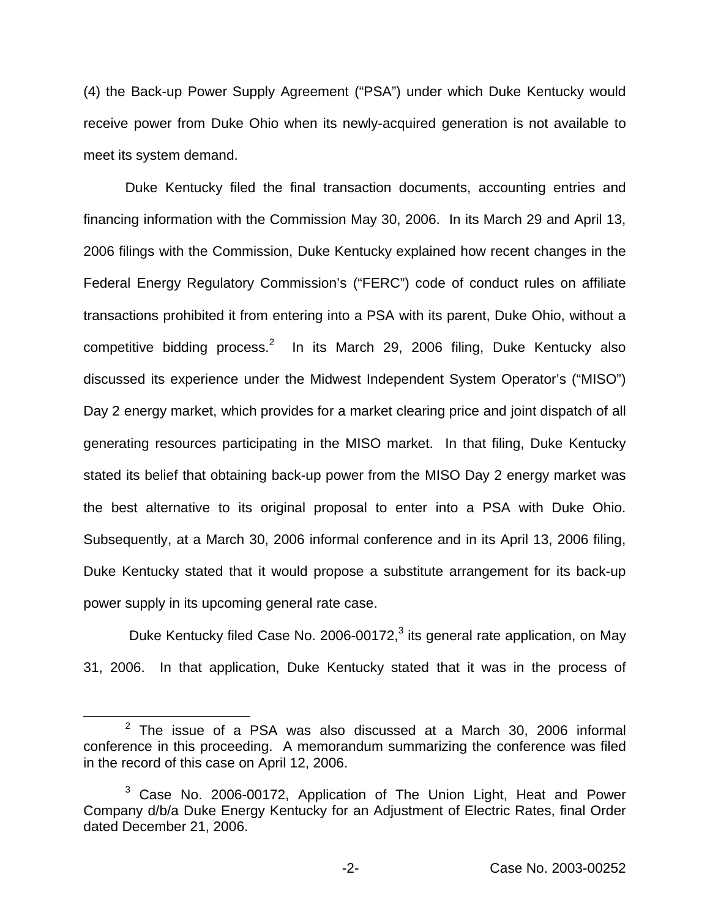(4) the Back-up Power Supply Agreement ("PSA") under which Duke Kentucky would receive power from Duke Ohio when its newly-acquired generation is not available to meet its system demand.

Duke Kentucky filed the final transaction documents, accounting entries and financing information with the Commission May 30, 2006. In its March 29 and April 13, 2006 filings with the Commission, Duke Kentucky explained how recent changes in the Federal Energy Regulatory Commission's ("FERC") code of conduct rules on affiliate transactions prohibited it from entering into a PSA with its parent, Duke Ohio, without a competitive bidding process.<sup>2</sup> In its March 29, 2006 filing, Duke Kentucky also discussed its experience under the Midwest Independent System Operator's ("MISO") Day 2 energy market, which provides for a market clearing price and joint dispatch of all generating resources participating in the MISO market. In that filing, Duke Kentucky stated its belief that obtaining back-up power from the MISO Day 2 energy market was the best alternative to its original proposal to enter into a PSA with Duke Ohio. Subsequently, at a March 30, 2006 informal conference and in its April 13, 2006 filing, Duke Kentucky stated that it would propose a substitute arrangement for its back-up power supply in its upcoming general rate case.

Duke Kentucky filed Case No. 2006-00172,<sup>3</sup> its general rate application, on May 31, 2006. In that application, Duke Kentucky stated that it was in the process of

 $2$  The issue of a PSA was also discussed at a March 30, 2006 informal conference in this proceeding. A memorandum summarizing the conference was filed in the record of this case on April 12, 2006.

<sup>&</sup>lt;sup>3</sup> Case No. 2006-00172, Application of The Union Light, Heat and Power Company d/b/a Duke Energy Kentucky for an Adjustment of Electric Rates, final Order dated December 21, 2006.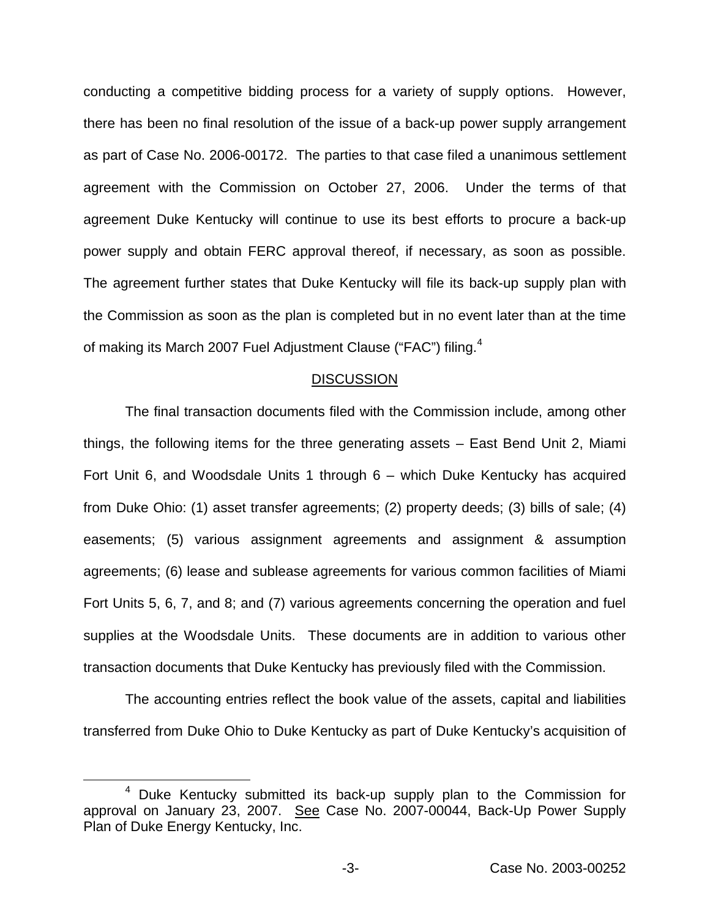conducting a competitive bidding process for a variety of supply options. However, there has been no final resolution of the issue of a back-up power supply arrangement as part of Case No. 2006-00172. The parties to that case filed a unanimous settlement agreement with the Commission on October 27, 2006. Under the terms of that agreement Duke Kentucky will continue to use its best efforts to procure a back-up power supply and obtain FERC approval thereof, if necessary, as soon as possible. The agreement further states that Duke Kentucky will file its back-up supply plan with the Commission as soon as the plan is completed but in no event later than at the time of making its March 2007 Fuel Adjustment Clause ("FAC") filing.<sup>4</sup>

#### **DISCUSSION**

The final transaction documents filed with the Commission include, among other things, the following items for the three generating assets – East Bend Unit 2, Miami Fort Unit 6, and Woodsdale Units 1 through 6 – which Duke Kentucky has acquired from Duke Ohio: (1) asset transfer agreements; (2) property deeds; (3) bills of sale; (4) easements; (5) various assignment agreements and assignment & assumption agreements; (6) lease and sublease agreements for various common facilities of Miami Fort Units 5, 6, 7, and 8; and (7) various agreements concerning the operation and fuel supplies at the Woodsdale Units. These documents are in addition to various other transaction documents that Duke Kentucky has previously filed with the Commission.

The accounting entries reflect the book value of the assets, capital and liabilities transferred from Duke Ohio to Duke Kentucky as part of Duke Kentucky's acquisition of

<sup>4</sup> Duke Kentucky submitted its back-up supply plan to the Commission for approval on January 23, 2007. See Case No. 2007-00044, Back-Up Power Supply Plan of Duke Energy Kentucky, Inc.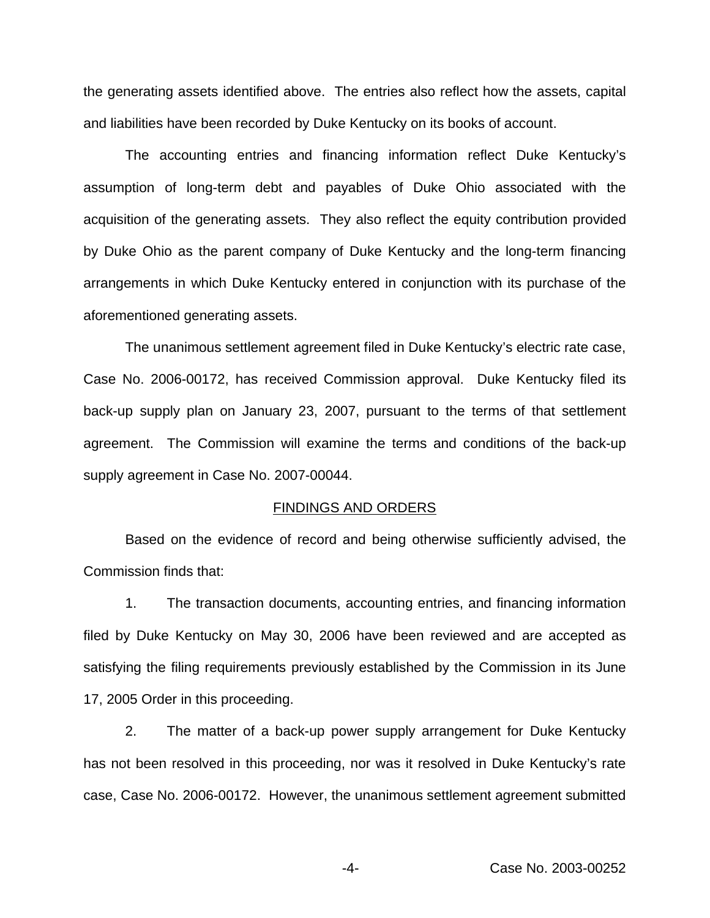the generating assets identified above. The entries also reflect how the assets, capital and liabilities have been recorded by Duke Kentucky on its books of account.

The accounting entries and financing information reflect Duke Kentucky's assumption of long-term debt and payables of Duke Ohio associated with the acquisition of the generating assets. They also reflect the equity contribution provided by Duke Ohio as the parent company of Duke Kentucky and the long-term financing arrangements in which Duke Kentucky entered in conjunction with its purchase of the aforementioned generating assets.

The unanimous settlement agreement filed in Duke Kentucky's electric rate case, Case No. 2006-00172, has received Commission approval. Duke Kentucky filed its back-up supply plan on January 23, 2007, pursuant to the terms of that settlement agreement. The Commission will examine the terms and conditions of the back-up supply agreement in Case No. 2007-00044.

#### FINDINGS AND ORDERS

Based on the evidence of record and being otherwise sufficiently advised, the Commission finds that:

1. The transaction documents, accounting entries, and financing information filed by Duke Kentucky on May 30, 2006 have been reviewed and are accepted as satisfying the filing requirements previously established by the Commission in its June 17, 2005 Order in this proceeding.

2. The matter of a back-up power supply arrangement for Duke Kentucky has not been resolved in this proceeding, nor was it resolved in Duke Kentucky's rate case, Case No. 2006-00172. However, the unanimous settlement agreement submitted